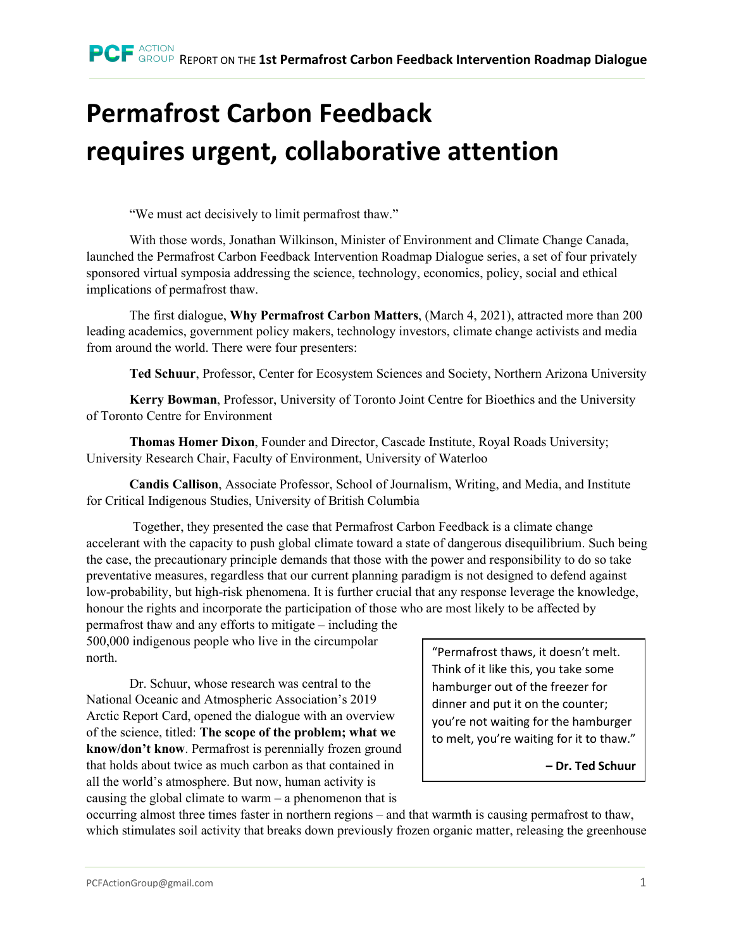## **Permafrost Carbon Feedback requires urgent, collaborative attention**

"We must act decisively to limit permafrost thaw."

With those words, Jonathan Wilkinson, Minister of Environment and Climate Change Canada, launched the Permafrost Carbon Feedback Intervention Roadmap Dialogue series, a set of four privately sponsored virtual symposia addressing the science, technology, economics, policy, social and ethical implications of permafrost thaw.

The first dialogue, **Why Permafrost Carbon Matters**, (March 4, 2021), attracted more than 200 leading academics, government policy makers, technology investors, climate change activists and media from around the world. There were four presenters:

**Ted Schuur**, Professor, Center for Ecosystem Sciences and Society, Northern Arizona University

**Kerry Bowman**, Professor, University of Toronto Joint Centre for Bioethics and the University of Toronto Centre for Environment

**Thomas Homer Dixon**, Founder and Director, Cascade Institute, Royal Roads University; University Research Chair, Faculty of Environment, University of Waterloo

**Candis Callison**, Associate Professor, School of Journalism, Writing, and Media, and Institute for Critical Indigenous Studies, University of British Columbia

Together, they presented the case that Permafrost Carbon Feedback is a climate change accelerant with the capacity to push global climate toward a state of dangerous disequilibrium. Such being the case, the precautionary principle demands that those with the power and responsibility to do so take preventative measures, regardless that our current planning paradigm is not designed to defend against low-probability, but high-risk phenomena. It is further crucial that any response leverage the knowledge, honour the rights and incorporate the participation of those who are most likely to be affected by

permafrost thaw and any efforts to mitigate – including the 500,000 indigenous people who live in the circumpolar north.

Dr. Schuur, whose research was central to the National Oceanic and Atmospheric Association's 2019 Arctic Report Card, opened the dialogue with an overview of the science, titled: **The scope of the problem; what we know/don't know**. Permafrost is perennially frozen ground that holds about twice as much carbon as that contained in all the world's atmosphere. But now, human activity is causing the global climate to warm – a phenomenon that is

"Permafrost thaws, it doesn't melt. Think of it like this, you take some hamburger out of the freezer for dinner and put it on the counter; you're not waiting for the hamburger to melt, you're waiting for it to thaw."

**– Dr. Ted Schuur**

occurring almost three times faster in northern regions – and that warmth is causing permafrost to thaw, which stimulates soil activity that breaks down previously frozen organic matter, releasing the greenhouse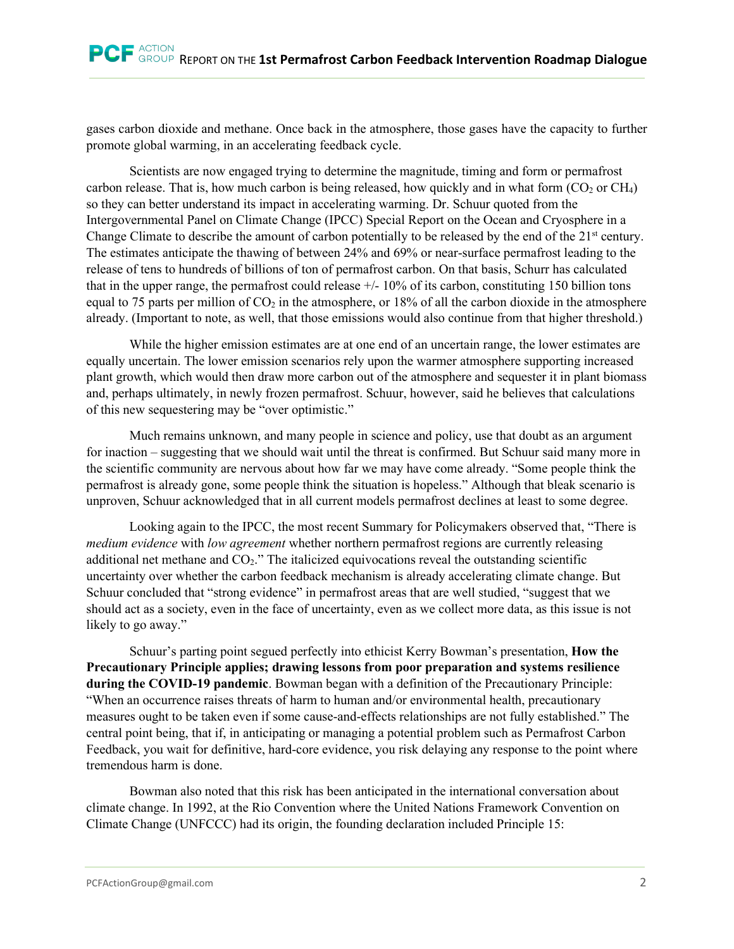gases carbon dioxide and methane. Once back in the atmosphere, those gases have the capacity to further promote global warming, in an accelerating feedback cycle.

Scientists are now engaged trying to determine the magnitude, timing and form or permafrost carbon release. That is, how much carbon is being released, how quickly and in what form  $(CO_2 \text{ or } CH_4)$ so they can better understand its impact in accelerating warming. Dr. Schuur quoted from the Intergovernmental Panel on Climate Change (IPCC) Special Report on the Ocean and Cryosphere in a Change Climate to describe the amount of carbon potentially to be released by the end of the 21<sup>st</sup> century. The estimates anticipate the thawing of between 24% and 69% or near-surface permafrost leading to the release of tens to hundreds of billions of ton of permafrost carbon. On that basis, Schurr has calculated that in the upper range, the permafrost could release +/- 10% of its carbon, constituting 150 billion tons equal to 75 parts per million of  $CO<sub>2</sub>$  in the atmosphere, or 18% of all the carbon dioxide in the atmosphere already. (Important to note, as well, that those emissions would also continue from that higher threshold.)

While the higher emission estimates are at one end of an uncertain range, the lower estimates are equally uncertain. The lower emission scenarios rely upon the warmer atmosphere supporting increased plant growth, which would then draw more carbon out of the atmosphere and sequester it in plant biomass and, perhaps ultimately, in newly frozen permafrost. Schuur, however, said he believes that calculations of this new sequestering may be "over optimistic."

Much remains unknown, and many people in science and policy, use that doubt as an argument for inaction – suggesting that we should wait until the threat is confirmed. But Schuur said many more in the scientific community are nervous about how far we may have come already. "Some people think the permafrost is already gone, some people think the situation is hopeless." Although that bleak scenario is unproven, Schuur acknowledged that in all current models permafrost declines at least to some degree.

Looking again to the IPCC, the most recent Summary for Policymakers observed that, "There is *medium evidence* with *low agreement* whether northern permafrost regions are currently releasing additional net methane and  $CO<sub>2</sub>$ ." The italicized equivocations reveal the outstanding scientific uncertainty over whether the carbon feedback mechanism is already accelerating climate change. But Schuur concluded that "strong evidence" in permafrost areas that are well studied, "suggest that we should act as a society, even in the face of uncertainty, even as we collect more data, as this issue is not likely to go away."

Schuur's parting point segued perfectly into ethicist Kerry Bowman's presentation, **How the Precautionary Principle applies; drawing lessons from poor preparation and systems resilience during the COVID-19 pandemic**. Bowman began with a definition of the Precautionary Principle: "When an occurrence raises threats of harm to human and/or environmental health, precautionary measures ought to be taken even if some cause-and-effects relationships are not fully established." The central point being, that if, in anticipating or managing a potential problem such as Permafrost Carbon Feedback, you wait for definitive, hard-core evidence, you risk delaying any response to the point where tremendous harm is done.

Bowman also noted that this risk has been anticipated in the international conversation about climate change. In 1992, at the Rio Convention where the United Nations Framework Convention on Climate Change (UNFCCC) had its origin, the founding declaration included Principle 15: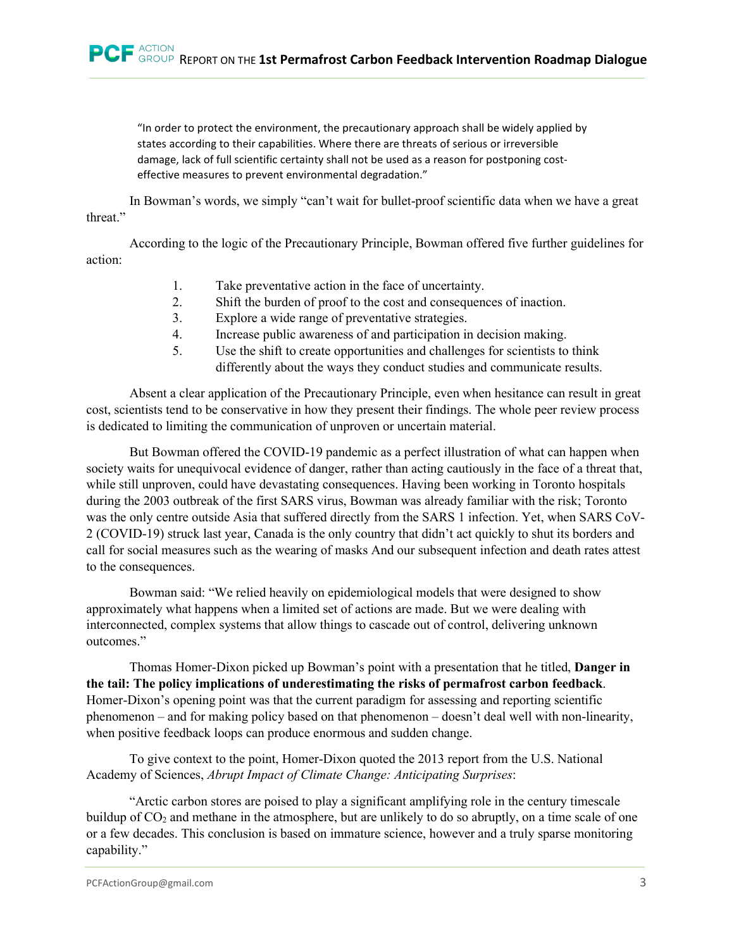"In order to protect the environment, the precautionary approach shall be widely applied by states according to their capabilities. Where there are threats of serious or irreversible damage, lack of full scientific certainty shall not be used as a reason for postponing costeffective measures to prevent environmental degradation."

In Bowman's words, we simply "can't wait for bullet-proof scientific data when we have a great threat."

According to the logic of the Precautionary Principle, Bowman offered five further guidelines for action:

- 1. Take preventative action in the face of uncertainty.
- 2. Shift the burden of proof to the cost and consequences of inaction.
- 3. Explore a wide range of preventative strategies.
- 4. Increase public awareness of and participation in decision making.
- 5. Use the shift to create opportunities and challenges for scientists to think differently about the ways they conduct studies and communicate results.

Absent a clear application of the Precautionary Principle, even when hesitance can result in great cost, scientists tend to be conservative in how they present their findings. The whole peer review process is dedicated to limiting the communication of unproven or uncertain material.

But Bowman offered the COVID-19 pandemic as a perfect illustration of what can happen when society waits for unequivocal evidence of danger, rather than acting cautiously in the face of a threat that, while still unproven, could have devastating consequences. Having been working in Toronto hospitals during the 2003 outbreak of the first SARS virus, Bowman was already familiar with the risk; Toronto was the only centre outside Asia that suffered directly from the SARS 1 infection. Yet, when SARS CoV-2 (COVID-19) struck last year, Canada is the only country that didn't act quickly to shut its borders and call for social measures such as the wearing of masks And our subsequent infection and death rates attest to the consequences.

Bowman said: "We relied heavily on epidemiological models that were designed to show approximately what happens when a limited set of actions are made. But we were dealing with interconnected, complex systems that allow things to cascade out of control, delivering unknown outcomes."

Thomas Homer-Dixon picked up Bowman's point with a presentation that he titled, **Danger in the tail: The policy implications of underestimating the risks of permafrost carbon feedback**. Homer-Dixon's opening point was that the current paradigm for assessing and reporting scientific phenomenon – and for making policy based on that phenomenon – doesn't deal well with non-linearity, when positive feedback loops can produce enormous and sudden change.

To give context to the point, Homer-Dixon quoted the 2013 report from the U.S. National Academy of Sciences, *Abrupt Impact of Climate Change: Anticipating Surprises*:

"Arctic carbon stores are poised to play a significant amplifying role in the century timescale buildup of CO<sub>2</sub> and methane in the atmosphere, but are unlikely to do so abruptly, on a time scale of one or a few decades. This conclusion is based on immature science, however and a truly sparse monitoring capability."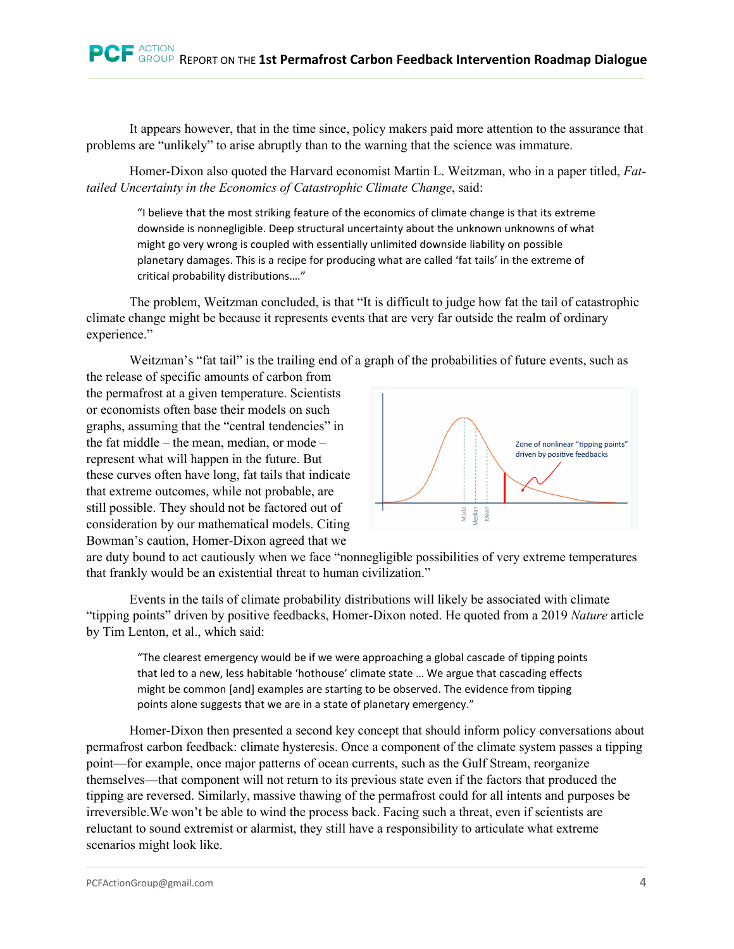It appears however, that in the time since, policy makers paid more attention to the assurance that problems are "unlikely" to arise abruptly than to the warning that the science was immature.

Homer-Dixon also quoted the Harvard economist Martin L. Weitzman, who in a paper titled, *Fattailed Uncertainty in the Economics of Catastrophic Climate Change*, said:

"I believe that the most striking feature of the economics of climate change is that its extreme downside is nonnegligible. Deep structural uncertainty about the unknown unknowns of what might go very wrong is coupled with essentially unlimited downside liability on possible planetary damages. This is a recipe for producing what are called 'fat tails' in the extreme of critical probability distributions…."

The problem, Weitzman concluded, is that "It is difficult to judge how fat the tail of catastrophic climate change might be because it represents events that are very far outside the realm of ordinary experience."

Weitzman's "fat tail" is the trailing end of a graph of the probabilities of future events, such as

the release of specific amounts of carbon from the permafrost at a given temperature. Scientists or economists often base their models on such graphs, assuming that the "central tendencies" in the fat middle – the mean, median, or mode – represent what will happen in the future. But these curves often have long, fat tails that indicate that extreme outcomes, while not probable, are still possible. They should not be factored out of consideration by our mathematical models. Citing Bowman's caution, Homer-Dixon agreed that we



are duty bound to act cautiously when we face "nonnegligible possibilities of very extreme temperatures that frankly would be an existential threat to human civilization."

Events in the tails of climate probability distributions will likely be associated with climate "tipping points" driven by positive feedbacks, Homer-Dixon noted. He quoted from a 2019 *Nature* article by Tim Lenton, et al., which said:

"The clearest emergency would be if we were approaching a global cascade of tipping points that led to a new, less habitable 'hothouse' climate state … We argue that cascading effects might be common [and] examples are starting to be observed. The evidence from tipping points alone suggests that we are in a state of planetary emergency."

Homer-Dixon then presented a second key concept that should inform policy conversations about permafrost carbon feedback: climate hysteresis. Once a component of the climate system passes a tipping point—for example, once major patterns of ocean currents, such as the Gulf Stream, reorganize themselves—that component will not return to its previous state even if the factors that produced the tipping are reversed. Similarly, massive thawing of the permafrost could for all intents and purposes be irreversible.We won't be able to wind the process back. Facing such a threat, even if scientists are reluctant to sound extremist or alarmist, they still have a responsibility to articulate what extreme scenarios might look like.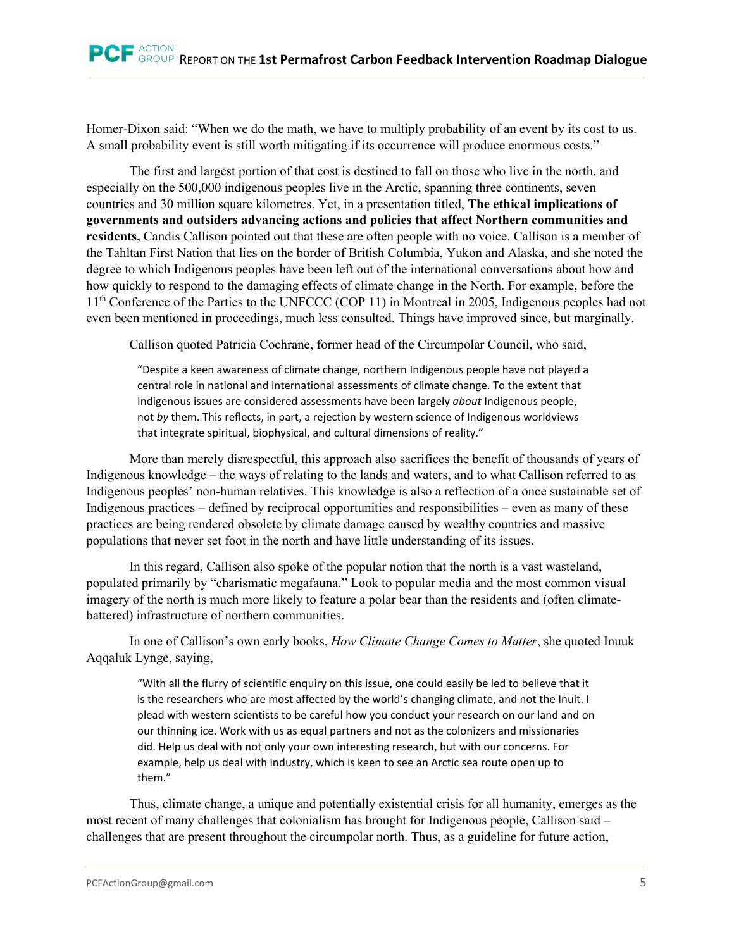Homer-Dixon said: "When we do the math, we have to multiply probability of an event by its cost to us. A small probability event is still worth mitigating if its occurrence will produce enormous costs."

The first and largest portion of that cost is destined to fall on those who live in the north, and especially on the 500,000 indigenous peoples live in the Arctic, spanning three continents, seven countries and 30 million square kilometres. Yet, in a presentation titled, **The ethical implications of governments and outsiders advancing actions and policies that affect Northern communities and residents,** Candis Callison pointed out that these are often people with no voice. Callison is a member of the Tahltan First Nation that lies on the border of British Columbia, Yukon and Alaska, and she noted the degree to which Indigenous peoples have been left out of the international conversations about how and how quickly to respond to the damaging effects of climate change in the North. For example, before the 11<sup>th</sup> Conference of the Parties to the UNFCCC (COP 11) in Montreal in 2005, Indigenous peoples had not even been mentioned in proceedings, much less consulted. Things have improved since, but marginally.

Callison quoted Patricia Cochrane, former head of the Circumpolar Council, who said,

"Despite a keen awareness of climate change, northern Indigenous people have not played a central role in national and international assessments of climate change. To the extent that Indigenous issues are considered assessments have been largely *about* Indigenous people, not *by* them. This reflects, in part, a rejection by western science of Indigenous worldviews that integrate spiritual, biophysical, and cultural dimensions of reality."

More than merely disrespectful, this approach also sacrifices the benefit of thousands of years of Indigenous knowledge – the ways of relating to the lands and waters, and to what Callison referred to as Indigenous peoples' non-human relatives. This knowledge is also a reflection of a once sustainable set of Indigenous practices – defined by reciprocal opportunities and responsibilities – even as many of these practices are being rendered obsolete by climate damage caused by wealthy countries and massive populations that never set foot in the north and have little understanding of its issues.

In this regard, Callison also spoke of the popular notion that the north is a vast wasteland, populated primarily by "charismatic megafauna." Look to popular media and the most common visual imagery of the north is much more likely to feature a polar bear than the residents and (often climatebattered) infrastructure of northern communities.

In one of Callison's own early books, *How Climate Change Comes to Matter*, she quoted Inuuk Aqqaluk Lynge, saying,

"With all the flurry of scientific enquiry on this issue, one could easily be led to believe that it is the researchers who are most affected by the world's changing climate, and not the Inuit. I plead with western scientists to be careful how you conduct your research on our land and on our thinning ice. Work with us as equal partners and not as the colonizers and missionaries did. Help us deal with not only your own interesting research, but with our concerns. For example, help us deal with industry, which is keen to see an Arctic sea route open up to them."

Thus, climate change, a unique and potentially existential crisis for all humanity, emerges as the most recent of many challenges that colonialism has brought for Indigenous people, Callison said – challenges that are present throughout the circumpolar north. Thus, as a guideline for future action,